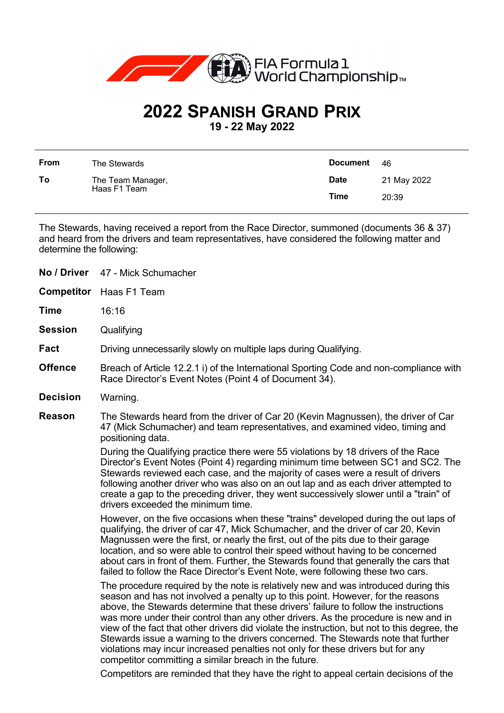

## **2022 SPANISH GRAND PRIX**

**19 - 22 May 2022**

| <b>From</b> | The Stewards                      | <b>Document</b> | -46         |
|-------------|-----------------------------------|-----------------|-------------|
| To          | The Team Manager,<br>Haas F1 Team | <b>Date</b>     | 21 May 2022 |
|             |                                   | <b>Time</b>     | 20:39       |

The Stewards, having received a report from the Race Director, summoned (documents 36 & 37) and heard from the drivers and team representatives, have considered the following matter and determine the following:

| No / Driver       | 47 - Mick Schumacher                                                                                                                                                                                                                                                                                                                                                                                                                                                                                                                                                                                                                                                                    |  |
|-------------------|-----------------------------------------------------------------------------------------------------------------------------------------------------------------------------------------------------------------------------------------------------------------------------------------------------------------------------------------------------------------------------------------------------------------------------------------------------------------------------------------------------------------------------------------------------------------------------------------------------------------------------------------------------------------------------------------|--|
| <b>Competitor</b> | Haas F1 Team                                                                                                                                                                                                                                                                                                                                                                                                                                                                                                                                                                                                                                                                            |  |
| <b>Time</b>       | 16:16                                                                                                                                                                                                                                                                                                                                                                                                                                                                                                                                                                                                                                                                                   |  |
| <b>Session</b>    | Qualifying                                                                                                                                                                                                                                                                                                                                                                                                                                                                                                                                                                                                                                                                              |  |
| Fact              | Driving unnecessarily slowly on multiple laps during Qualifying.                                                                                                                                                                                                                                                                                                                                                                                                                                                                                                                                                                                                                        |  |
| <b>Offence</b>    | Breach of Article 12.2.1 i) of the International Sporting Code and non-compliance with<br>Race Director's Event Notes (Point 4 of Document 34).                                                                                                                                                                                                                                                                                                                                                                                                                                                                                                                                         |  |
| <b>Decision</b>   | Warning.                                                                                                                                                                                                                                                                                                                                                                                                                                                                                                                                                                                                                                                                                |  |
| <b>Reason</b>     | The Stewards heard from the driver of Car 20 (Kevin Magnussen), the driver of Car<br>47 (Mick Schumacher) and team representatives, and examined video, timing and<br>positioning data.                                                                                                                                                                                                                                                                                                                                                                                                                                                                                                 |  |
|                   | During the Qualifying practice there were 55 violations by 18 drivers of the Race<br>Director's Event Notes (Point 4) regarding minimum time between SC1 and SC2. The<br>Stewards reviewed each case, and the majority of cases were a result of drivers<br>following another driver who was also on an out lap and as each driver attempted to<br>create a gap to the preceding driver, they went successively slower until a "train" of<br>drivers exceeded the minimum time.                                                                                                                                                                                                         |  |
|                   | However, on the five occasions when these "trains" developed during the out laps of<br>qualifying, the driver of car 47, Mick Schumacher, and the driver of car 20, Kevin<br>Magnussen were the first, or nearly the first, out of the pits due to their garage<br>location, and so were able to control their speed without having to be concerned<br>about cars in front of them. Further, the Stewards found that generally the cars that<br>failed to follow the Race Director's Event Note, were following these two cars.                                                                                                                                                         |  |
|                   | The procedure required by the note is relatively new and was introduced during this<br>season and has not involved a penalty up to this point. However, for the reasons<br>above, the Stewards determine that these drivers' failure to follow the instructions<br>was more under their control than any other drivers. As the procedure is new and in<br>view of the fact that other drivers did violate the instruction, but not to this degree, the<br>Stewards issue a warning to the drivers concerned. The Stewards note that further<br>violations may incur increased penalties not only for these drivers but for any<br>competitor committing a similar breach in the future. |  |
|                   | Competitors are reminded that they have the right to appeal certain decisions of the                                                                                                                                                                                                                                                                                                                                                                                                                                                                                                                                                                                                    |  |